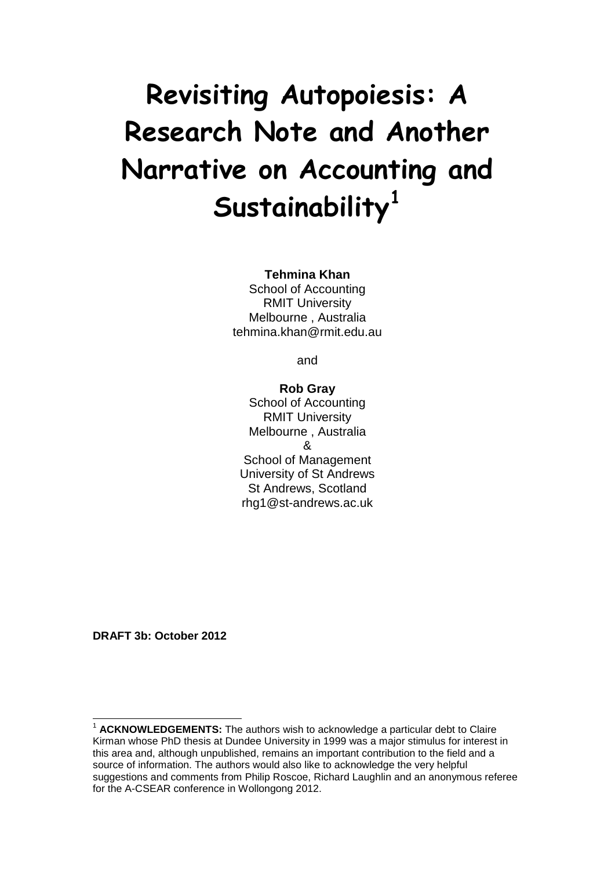# **Revisiting Autopoiesis: A Research Note and Another Narrative on Accounting and Sustainability[1](#page-0-0)**

#### **Tehmina Khan**

School of Accounting RMIT University Melbourne , Australia tehmina.khan@rmit.edu.au

and

## **Rob Gray** School of Accounting RMIT University Melbourne , Australia & School of Management University of St Andrews St Andrews, Scotland rhg1@st-andrews.ac.uk

**DRAFT 3b: October 2012**

<span id="page-0-0"></span><sup>&</sup>lt;sup>1</sup> ACKNOWLEDGEMENTS: The authors wish to acknowledge a particular debt to Claire Kirman whose PhD thesis at Dundee University in 1999 was a major stimulus for interest in this area and, although unpublished, remains an important contribution to the field and a source of information. The authors would also like to acknowledge the very helpful suggestions and comments from Philip Roscoe, Richard Laughlin and an anonymous referee for the A-CSEAR conference in Wollongong 2012.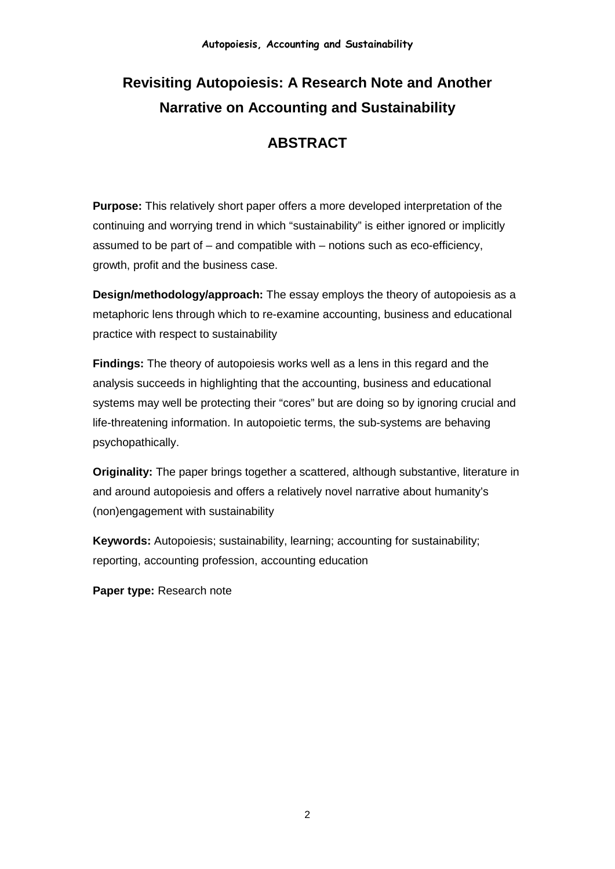# **Revisiting Autopoiesis: A Research Note and Another Narrative on Accounting and Sustainability**

# **ABSTRACT**

**Purpose:** This relatively short paper offers a more developed interpretation of the continuing and worrying trend in which "sustainability" is either ignored or implicitly assumed to be part of – and compatible with – notions such as eco-efficiency, growth, profit and the business case.

**Design/methodology/approach:** The essay employs the theory of autopoiesis as a metaphoric lens through which to re-examine accounting, business and educational practice with respect to sustainability

**Findings:** The theory of autopoiesis works well as a lens in this regard and the analysis succeeds in highlighting that the accounting, business and educational systems may well be protecting their "cores" but are doing so by ignoring crucial and life-threatening information. In autopoietic terms, the sub-systems are behaving psychopathically.

**Originality:** The paper brings together a scattered, although substantive, literature in and around autopoiesis and offers a relatively novel narrative about humanity's (non)engagement with sustainability

**Keywords:** Autopoiesis; sustainability, learning; accounting for sustainability; reporting, accounting profession, accounting education

**Paper type:** Research note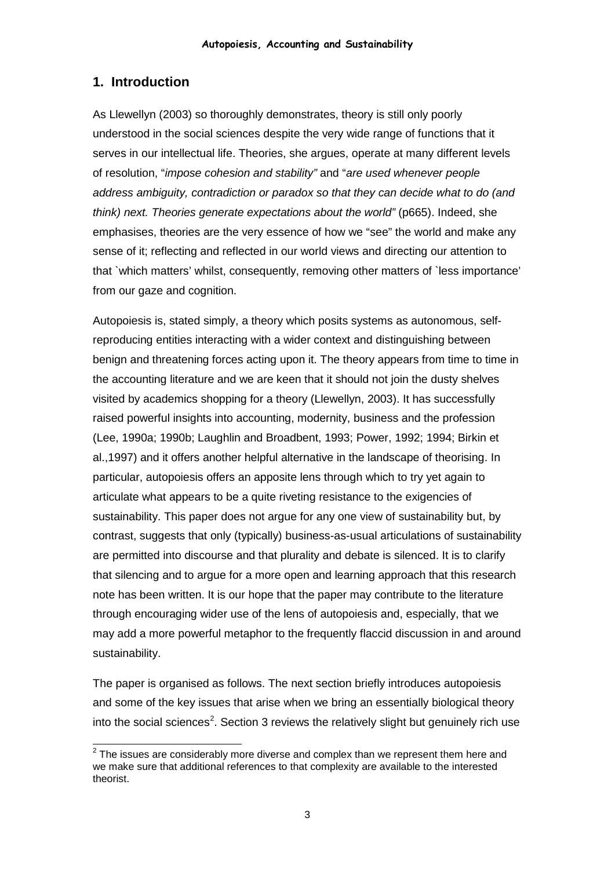# **1. Introduction**

As Llewellyn (2003) so thoroughly demonstrates, theory is still only poorly understood in the social sciences despite the very wide range of functions that it serves in our intellectual life. Theories, she argues, operate at many different levels of resolution, "*impose cohesion and stability"* and "*are used whenever people address ambiguity, contradiction or paradox so that they can decide what to do (and think) next. Theories generate expectations about the world"* (p665). Indeed, she emphasises, theories are the very essence of how we "see" the world and make any sense of it; reflecting and reflected in our world views and directing our attention to that `which matters' whilst, consequently, removing other matters of `less importance' from our gaze and cognition.

Autopoiesis is, stated simply, a theory which posits systems as autonomous, selfreproducing entities interacting with a wider context and distinguishing between benign and threatening forces acting upon it. The theory appears from time to time in the accounting literature and we are keen that it should not join the dusty shelves visited by academics shopping for a theory (Llewellyn, 2003). It has successfully raised powerful insights into accounting, modernity, business and the profession (Lee, 1990a; 1990b; Laughlin and Broadbent, 1993; Power, 1992; 1994; Birkin et al.,1997) and it offers another helpful alternative in the landscape of theorising. In particular, autopoiesis offers an apposite lens through which to try yet again to articulate what appears to be a quite riveting resistance to the exigencies of sustainability. This paper does not argue for any one view of sustainability but, by contrast, suggests that only (typically) business-as-usual articulations of sustainability are permitted into discourse and that plurality and debate is silenced. It is to clarify that silencing and to argue for a more open and learning approach that this research note has been written. It is our hope that the paper may contribute to the literature through encouraging wider use of the lens of autopoiesis and, especially, that we may add a more powerful metaphor to the frequently flaccid discussion in and around sustainability.

The paper is organised as follows. The next section briefly introduces autopoiesis and some of the key issues that arise when we bring an essentially biological theory into the social sciences<sup>[2](#page-2-0)</sup>. Section 3 reviews the relatively slight but genuinely rich use

<span id="page-2-0"></span> $2$  The issues are considerably more diverse and complex than we represent them here and we make sure that additional references to that complexity are available to the interested theorist.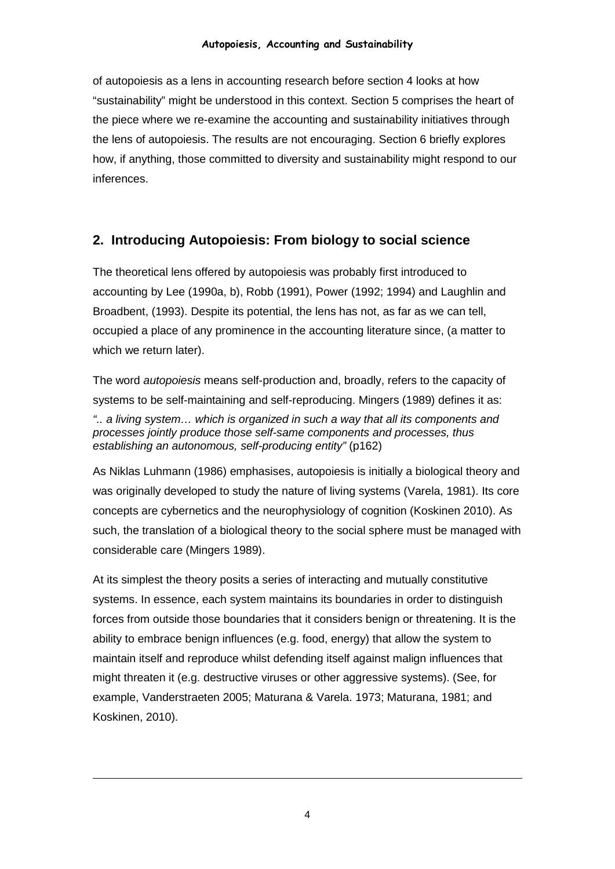of autopoiesis as a lens in accounting research before section 4 looks at how "sustainability" might be understood in this context. Section 5 comprises the heart of the piece where we re-examine the accounting and sustainability initiatives through the lens of autopoiesis. The results are not encouraging. Section 6 briefly explores how, if anything, those committed to diversity and sustainability might respond to our inferences.

# **2. Introducing Autopoiesis: From biology to social science**

The theoretical lens offered by autopoiesis was probably first introduced to accounting by Lee (1990a, b), Robb (1991), Power (1992; 1994) and Laughlin and Broadbent, (1993). Despite its potential, the lens has not, as far as we can tell, occupied a place of any prominence in the accounting literature since, (a matter to which we return later).

The word *autopoiesis* means self-production and, broadly, refers to the capacity of systems to be self-maintaining and self-reproducing. Mingers (1989) defines it as: *".. a living system… which is organized in such a way that all its components and processes jointly produce those self-same components and processes, thus establishing an autonomous, self-producing entity"* (p162)

As Niklas Luhmann (1986) emphasises, autopoiesis is initially a biological theory and was originally developed to study the nature of living systems (Varela, 1981). Its core concepts are cybernetics and the neurophysiology of cognition (Koskinen 2010). As such, the translation of a biological theory to the social sphere must be managed with considerable care (Mingers 1989).

At its simplest the theory posits a series of interacting and mutually constitutive systems. In essence, each system maintains its boundaries in order to distinguish forces from outside those boundaries that it considers benign or threatening. It is the ability to embrace benign influences (e.g. food, energy) that allow the system to maintain itself and reproduce whilst defending itself against malign influences that might threaten it (e.g. destructive viruses or other aggressive systems). (See, for example, Vanderstraeten 2005; Maturana & Varela. 1973; Maturana, 1981; and Koskinen, 2010).

j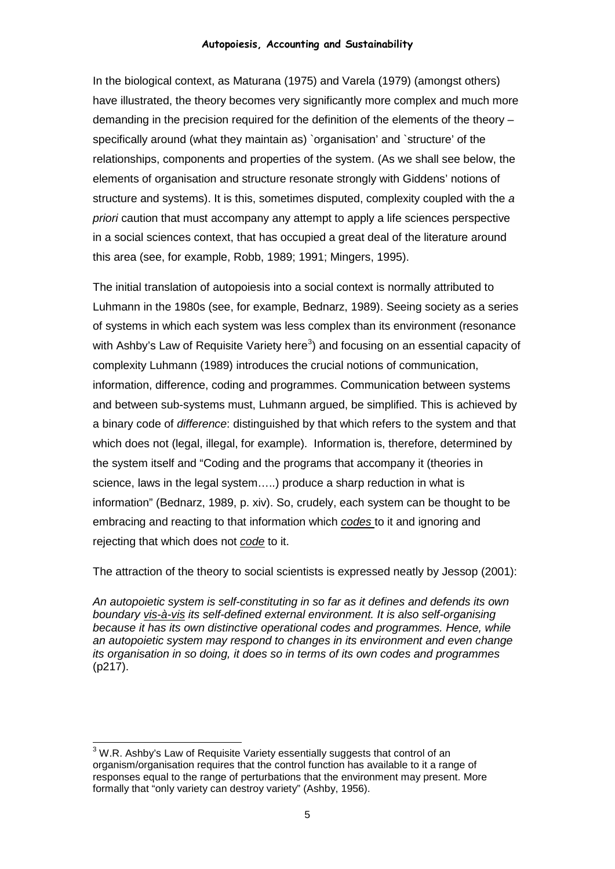In the biological context, as Maturana (1975) and Varela (1979) (amongst others) have illustrated, the theory becomes very significantly more complex and much more demanding in the precision required for the definition of the elements of the theory – specifically around (what they maintain as) `organisation' and `structure' of the relationships, components and properties of the system. (As we shall see below, the elements of organisation and structure resonate strongly with Giddens' notions of structure and systems). It is this, sometimes disputed, complexity coupled with the *a priori* caution that must accompany any attempt to apply a life sciences perspective in a social sciences context, that has occupied a great deal of the literature around this area (see, for example, Robb, 1989; 1991; Mingers, 1995).

The initial translation of autopoiesis into a social context is normally attributed to Luhmann in the 1980s (see, for example, Bednarz, 1989). Seeing society as a series of systems in which each system was less complex than its environment (resonance with Ashby's Law of Requisite Variety here<sup>[3](#page-4-0)</sup>) and focusing on an essential capacity of complexity Luhmann (1989) introduces the crucial notions of communication, information, difference, coding and programmes. Communication between systems and between sub-systems must, Luhmann argued, be simplified. This is achieved by a binary code of *difference*: distinguished by that which refers to the system and that which does not (legal, illegal, for example). Information is, therefore, determined by the system itself and "Coding and the programs that accompany it (theories in science, laws in the legal system…..) produce a sharp reduction in what is information" (Bednarz, 1989, p. xiv). So, crudely, each system can be thought to be embracing and reacting to that information which *codes* to it and ignoring and rejecting that which does not *code* to it.

The attraction of the theory to social scientists is expressed neatly by Jessop (2001):

*An autopoietic system is self-constituting in so far as it defines and defends its own boundary vis-à-vis its self-defined external environment. It is also self-organising because it has its own distinctive operational codes and programmes. Hence, while an autopoietic system may respond to changes in its environment and even change its organisation in so doing, it does so in terms of its own codes and programmes* (p217).

<span id="page-4-0"></span><sup>&</sup>lt;sup>3</sup> W.R. Ashby's Law of Requisite Variety essentially suggests that control of an organism/organisation requires that the control function has available to it a range of responses equal to the range of perturbations that the environment may present. More formally that "only variety can destroy variety" (Ashby, 1956).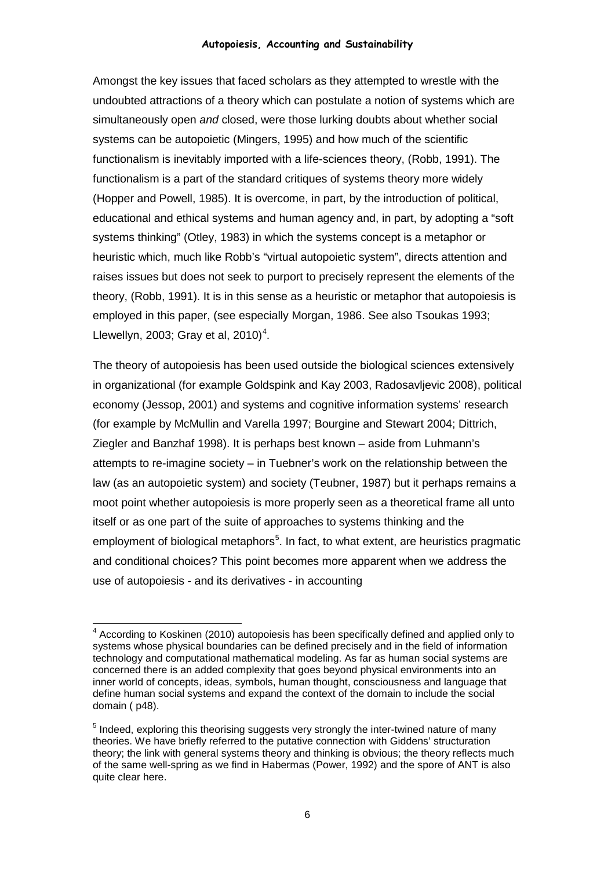Amongst the key issues that faced scholars as they attempted to wrestle with the undoubted attractions of a theory which can postulate a notion of systems which are simultaneously open *and* closed, were those lurking doubts about whether social systems can be autopoietic (Mingers, 1995) and how much of the scientific functionalism is inevitably imported with a life-sciences theory, (Robb, 1991). The functionalism is a part of the standard critiques of systems theory more widely (Hopper and Powell, 1985). It is overcome, in part, by the introduction of political, educational and ethical systems and human agency and, in part, by adopting a "soft systems thinking" (Otley, 1983) in which the systems concept is a metaphor or heuristic which, much like Robb's "virtual autopoietic system", directs attention and raises issues but does not seek to purport to precisely represent the elements of the theory, (Robb, 1991). It is in this sense as a heuristic or metaphor that autopoiesis is employed in this paper, (see especially Morgan, 1986. See also Tsoukas 1993; Llewellyn, 2003; Gray et al, 2010)<sup>[4](#page-5-0)</sup>.

The theory of autopoiesis has been used outside the biological sciences extensively in organizational (for example Goldspink and Kay 2003, Radosavljevic 2008), political economy (Jessop, 2001) and systems and cognitive information systems' research (for example by McMullin and Varella 1997; Bourgine and Stewart 2004; Dittrich, Ziegler and Banzhaf 1998). It is perhaps best known – aside from Luhmann's attempts to re-imagine society – in Tuebner's work on the relationship between the law (as an autopoietic system) and society (Teubner, 1987) but it perhaps remains a moot point whether autopoiesis is more properly seen as a theoretical frame all unto itself or as one part of the suite of approaches to systems thinking and the employment of biological metaphors<sup>[5](#page-5-1)</sup>. In fact, to what extent, are heuristics pragmatic and conditional choices? This point becomes more apparent when we address the use of autopoiesis - and its derivatives - in accounting

<span id="page-5-0"></span> <sup>4</sup> According to Koskinen (2010) autopoiesis has been specifically defined and applied only to systems whose physical boundaries can be defined precisely and in the field of information technology and computational mathematical modeling. As far as human social systems are concerned there is an added complexity that goes beyond physical environments into an inner world of concepts, ideas, symbols, human thought, consciousness and language that define human social systems and expand the context of the domain to include the social domain ( p48).

<span id="page-5-1"></span><sup>&</sup>lt;sup>5</sup> Indeed, exploring this theorising suggests very strongly the inter-twined nature of many theories. We have briefly referred to the putative connection with Giddens' structuration theory; the link with general systems theory and thinking is obvious; the theory reflects much of the same well-spring as we find in Habermas (Power, 1992) and the spore of ANT is also quite clear here.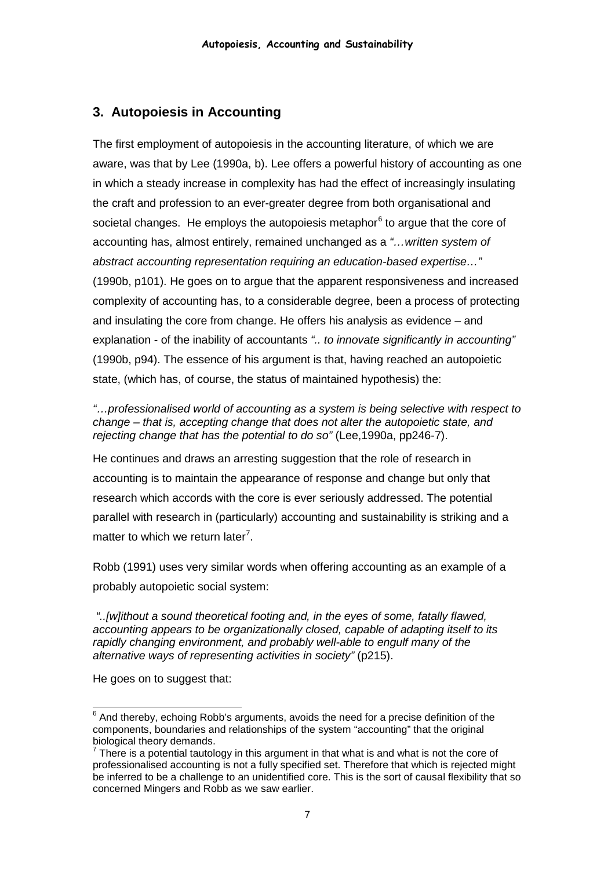## **3. Autopoiesis in Accounting**

The first employment of autopoiesis in the accounting literature, of which we are aware, was that by Lee (1990a, b). Lee offers a powerful history of accounting as one in which a steady increase in complexity has had the effect of increasingly insulating the craft and profession to an ever-greater degree from both organisational and societal changes. He employs the autopoiesis metaphor $<sup>6</sup>$  $<sup>6</sup>$  $<sup>6</sup>$  to argue that the core of</sup> accounting has, almost entirely, remained unchanged as a *"…written system of abstract accounting representation requiring an education-based expertise…"* (1990b, p101). He goes on to argue that the apparent responsiveness and increased complexity of accounting has, to a considerable degree, been a process of protecting and insulating the core from change. He offers his analysis as evidence – and explanation - of the inability of accountants *".. to innovate significantly in accounting"* (1990b, p94). The essence of his argument is that, having reached an autopoietic state, (which has, of course, the status of maintained hypothesis) the:

*"…professionalised world of accounting as a system is being selective with respect to change – that is, accepting change that does not alter the autopoietic state, and rejecting change that has the potential to do so"* (Lee,1990a, pp246-7).

He continues and draws an arresting suggestion that the role of research in accounting is to maintain the appearance of response and change but only that research which accords with the core is ever seriously addressed. The potential parallel with research in (particularly) accounting and sustainability is striking and a matter to which we return later<sup>[7](#page-6-1)</sup>.

Robb (1991) uses very similar words when offering accounting as an example of a probably autopoietic social system:

*"..[w]ithout a sound theoretical footing and, in the eyes of some, fatally flawed, accounting appears to be organizationally closed, capable of adapting itself to its rapidly changing environment, and probably well-able to engulf many of the alternative ways of representing activities in society"* (p215).

He goes on to suggest that:

<span id="page-6-0"></span> $6$  And thereby, echoing Robb's arguments, avoids the need for a precise definition of the components, boundaries and relationships of the system "accounting" that the original

<span id="page-6-1"></span>biological theory demands.<br><sup>7</sup> There is a potential tautology in this argument in that what is and what is not the core of professionalised accounting is not a fully specified set. Therefore that which is rejected might be inferred to be a challenge to an unidentified core. This is the sort of causal flexibility that so concerned Mingers and Robb as we saw earlier.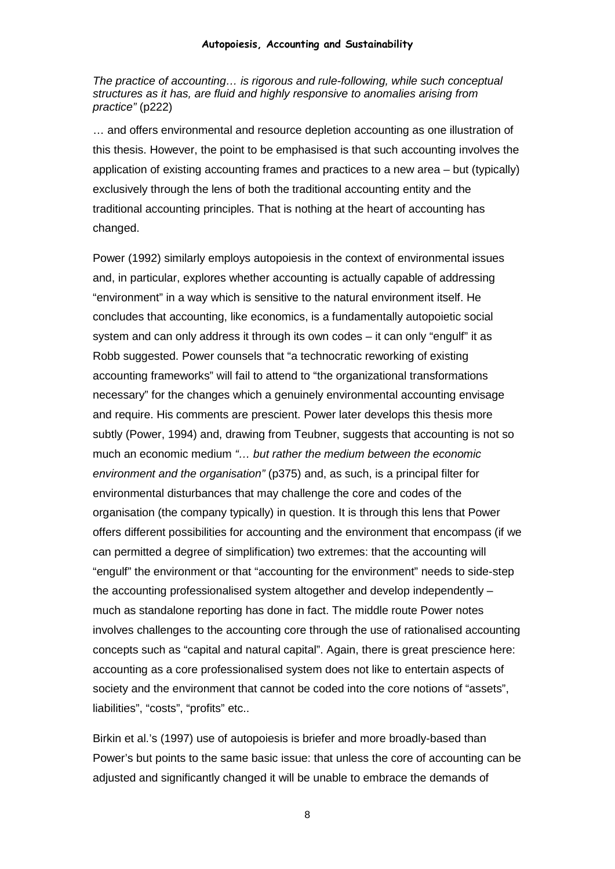*The practice of accounting… is rigorous and rule-following, while such conceptual structures as it has, are fluid and highly responsive to anomalies arising from practice"* (p222)

… and offers environmental and resource depletion accounting as one illustration of this thesis. However, the point to be emphasised is that such accounting involves the application of existing accounting frames and practices to a new area – but (typically) exclusively through the lens of both the traditional accounting entity and the traditional accounting principles. That is nothing at the heart of accounting has changed.

Power (1992) similarly employs autopoiesis in the context of environmental issues and, in particular, explores whether accounting is actually capable of addressing "environment" in a way which is sensitive to the natural environment itself. He concludes that accounting, like economics, is a fundamentally autopoietic social system and can only address it through its own codes – it can only "engulf" it as Robb suggested. Power counsels that "a technocratic reworking of existing accounting frameworks" will fail to attend to "the organizational transformations necessary" for the changes which a genuinely environmental accounting envisage and require. His comments are prescient. Power later develops this thesis more subtly (Power, 1994) and, drawing from Teubner, suggests that accounting is not so much an economic medium *"… but rather the medium between the economic environment and the organisation"* (p375) and, as such, is a principal filter for environmental disturbances that may challenge the core and codes of the organisation (the company typically) in question. It is through this lens that Power offers different possibilities for accounting and the environment that encompass (if we can permitted a degree of simplification) two extremes: that the accounting will "engulf" the environment or that "accounting for the environment" needs to side-step the accounting professionalised system altogether and develop independently – much as standalone reporting has done in fact. The middle route Power notes involves challenges to the accounting core through the use of rationalised accounting concepts such as "capital and natural capital". Again, there is great prescience here: accounting as a core professionalised system does not like to entertain aspects of society and the environment that cannot be coded into the core notions of "assets", liabilities", "costs", "profits" etc..

Birkin et al.'s (1997) use of autopoiesis is briefer and more broadly-based than Power's but points to the same basic issue: that unless the core of accounting can be adjusted and significantly changed it will be unable to embrace the demands of

8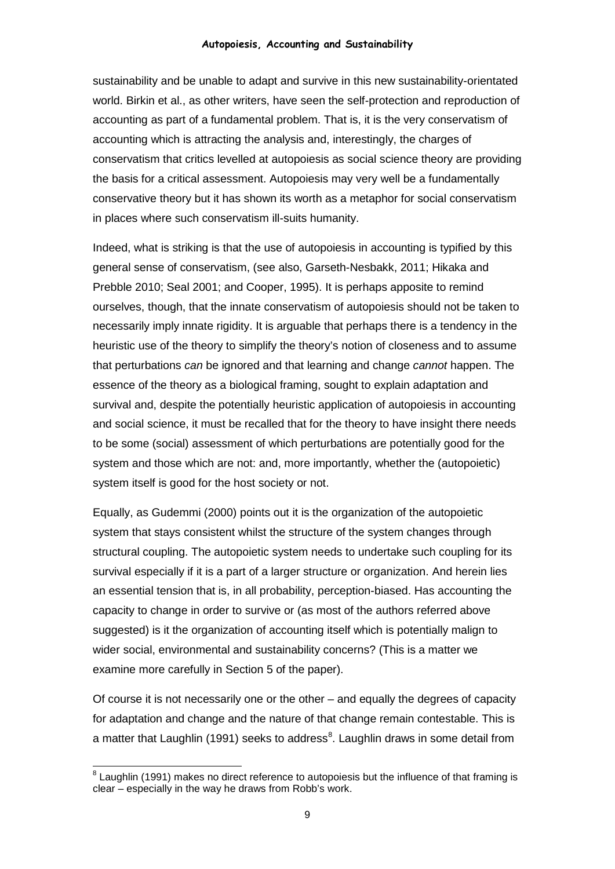sustainability and be unable to adapt and survive in this new sustainability-orientated world. Birkin et al., as other writers, have seen the self-protection and reproduction of accounting as part of a fundamental problem. That is, it is the very conservatism of accounting which is attracting the analysis and, interestingly, the charges of conservatism that critics levelled at autopoiesis as social science theory are providing the basis for a critical assessment. Autopoiesis may very well be a fundamentally conservative theory but it has shown its worth as a metaphor for social conservatism in places where such conservatism ill-suits humanity.

Indeed, what is striking is that the use of autopoiesis in accounting is typified by this general sense of conservatism, (see also, Garseth-Nesbakk, 2011; Hikaka and Prebble 2010; Seal 2001; and Cooper, 1995). It is perhaps apposite to remind ourselves, though, that the innate conservatism of autopoiesis should not be taken to necessarily imply innate rigidity. It is arguable that perhaps there is a tendency in the heuristic use of the theory to simplify the theory's notion of closeness and to assume that perturbations *can* be ignored and that learning and change *cannot* happen. The essence of the theory as a biological framing, sought to explain adaptation and survival and, despite the potentially heuristic application of autopoiesis in accounting and social science, it must be recalled that for the theory to have insight there needs to be some (social) assessment of which perturbations are potentially good for the system and those which are not: and, more importantly, whether the (autopoietic) system itself is good for the host society or not.

Equally, as Gudemmi (2000) points out it is the organization of the autopoietic system that stays consistent whilst the structure of the system changes through structural coupling. The autopoietic system needs to undertake such coupling for its survival especially if it is a part of a larger structure or organization. And herein lies an essential tension that is, in all probability, perception-biased. Has accounting the capacity to change in order to survive or (as most of the authors referred above suggested) is it the organization of accounting itself which is potentially malign to wider social, environmental and sustainability concerns? (This is a matter we examine more carefully in Section 5 of the paper).

Of course it is not necessarily one or the other – and equally the degrees of capacity for adaptation and change and the nature of that change remain contestable. This is a matter that Laughlin (1991) seeks to address<sup>[8](#page-8-0)</sup>. Laughlin draws in some detail from

<span id="page-8-0"></span> $8$  Laughlin (1991) makes no direct reference to autopoiesis but the influence of that framing is clear – especially in the way he draws from Robb's work.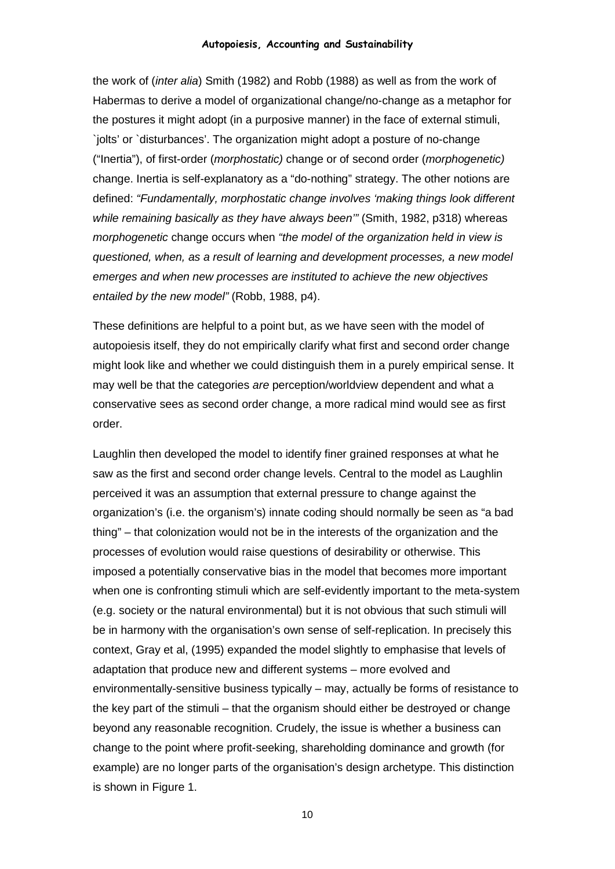the work of (*inter alia*) Smith (1982) and Robb (1988) as well as from the work of Habermas to derive a model of organizational change/no-change as a metaphor for the postures it might adopt (in a purposive manner) in the face of external stimuli, `jolts' or `disturbances'. The organization might adopt a posture of no-change ("Inertia"), of first-order (*morphostatic)* change or of second order (*morphogenetic)* change. Inertia is self-explanatory as a "do-nothing" strategy. The other notions are defined: *"Fundamentally, morphostatic change involves 'making things look different while remaining basically as they have always been'"* (Smith, 1982, p318) whereas *morphogenetic* change occurs when *"the model of the organization held in view is questioned, when, as a result of learning and development processes, a new model emerges and when new processes are instituted to achieve the new objectives entailed by the new model"* (Robb, 1988, p4).

These definitions are helpful to a point but, as we have seen with the model of autopoiesis itself, they do not empirically clarify what first and second order change might look like and whether we could distinguish them in a purely empirical sense. It may well be that the categories *are* perception/worldview dependent and what a conservative sees as second order change, a more radical mind would see as first order.

Laughlin then developed the model to identify finer grained responses at what he saw as the first and second order change levels. Central to the model as Laughlin perceived it was an assumption that external pressure to change against the organization's (i.e. the organism's) innate coding should normally be seen as "a bad thing" – that colonization would not be in the interests of the organization and the processes of evolution would raise questions of desirability or otherwise. This imposed a potentially conservative bias in the model that becomes more important when one is confronting stimuli which are self-evidently important to the meta-system (e.g. society or the natural environmental) but it is not obvious that such stimuli will be in harmony with the organisation's own sense of self-replication. In precisely this context, Gray et al, (1995) expanded the model slightly to emphasise that levels of adaptation that produce new and different systems – more evolved and environmentally-sensitive business typically – may, actually be forms of resistance to the key part of the stimuli – that the organism should either be destroyed or change beyond any reasonable recognition. Crudely, the issue is whether a business can change to the point where profit-seeking, shareholding dominance and growth (for example) are no longer parts of the organisation's design archetype. This distinction is shown in Figure 1.

10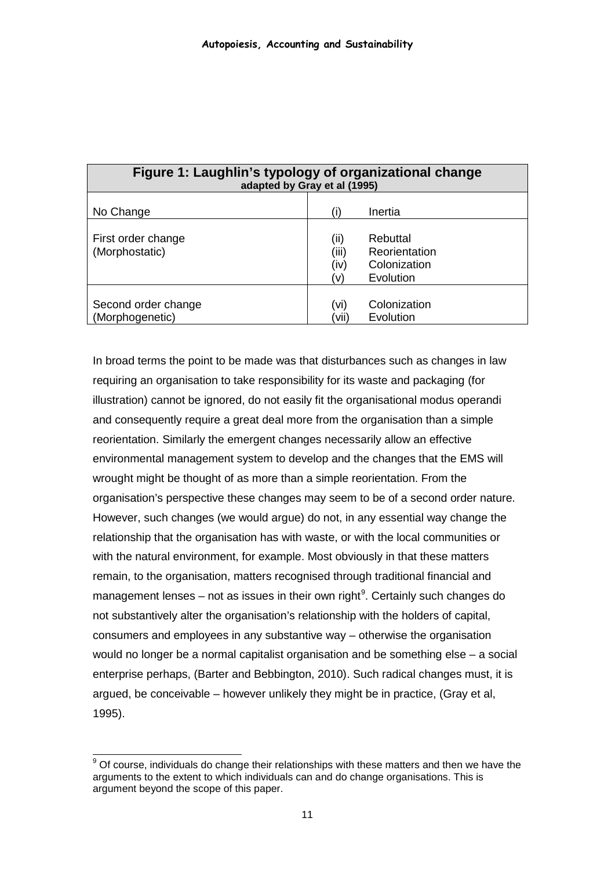| Figure 1: Laughlin's typology of organizational change<br>adapted by Gray et al (1995) |                              |                                                        |
|----------------------------------------------------------------------------------------|------------------------------|--------------------------------------------------------|
| No Change                                                                              |                              | Inertia                                                |
| First order change<br>(Morphostatic)                                                   | (ii)<br>(iii)<br>(iv)<br>(v) | Rebuttal<br>Reorientation<br>Colonization<br>Evolution |
| Second order change<br>(Morphogenetic)                                                 | (vi)<br>'vii                 | Colonization<br>Evolution                              |

In broad terms the point to be made was that disturbances such as changes in law requiring an organisation to take responsibility for its waste and packaging (for illustration) cannot be ignored, do not easily fit the organisational modus operandi and consequently require a great deal more from the organisation than a simple reorientation. Similarly the emergent changes necessarily allow an effective environmental management system to develop and the changes that the EMS will wrought might be thought of as more than a simple reorientation. From the organisation's perspective these changes may seem to be of a second order nature. However, such changes (we would argue) do not, in any essential way change the relationship that the organisation has with waste, or with the local communities or with the natural environment, for example. Most obviously in that these matters remain, to the organisation, matters recognised through traditional financial and management lenses – not as issues in their own right<sup>[9](#page-10-0)</sup>. Certainly such changes do not substantively alter the organisation's relationship with the holders of capital, consumers and employees in any substantive way – otherwise the organisation would no longer be a normal capitalist organisation and be something else – a social enterprise perhaps, (Barter and Bebbington, 2010). Such radical changes must, it is argued, be conceivable – however unlikely they might be in practice, (Gray et al, 1995).

<span id="page-10-0"></span> $9$  Of course, individuals do change their relationships with these matters and then we have the arguments to the extent to which individuals can and do change organisations. This is argument beyond the scope of this paper.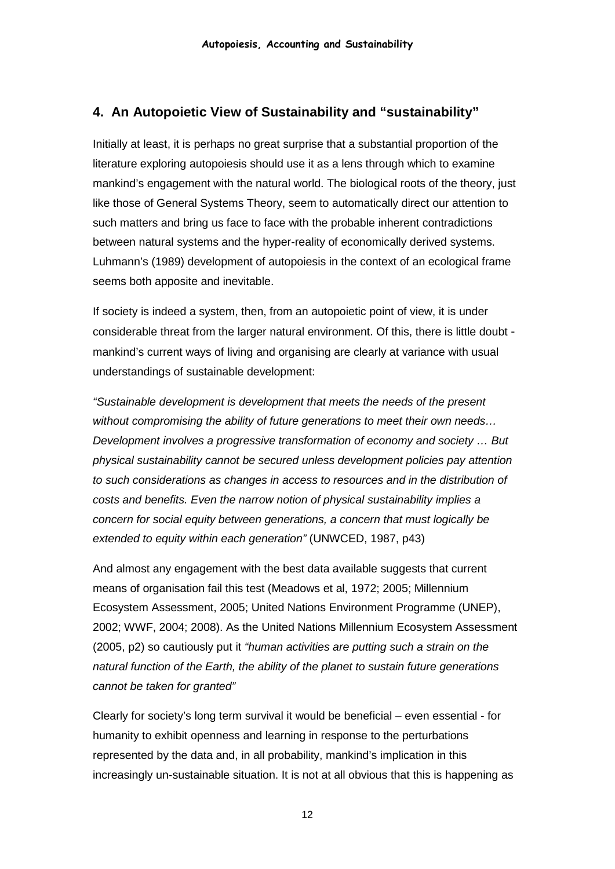# **4. An Autopoietic View of Sustainability and "sustainability"**

Initially at least, it is perhaps no great surprise that a substantial proportion of the literature exploring autopoiesis should use it as a lens through which to examine mankind's engagement with the natural world. The biological roots of the theory, just like those of General Systems Theory, seem to automatically direct our attention to such matters and bring us face to face with the probable inherent contradictions between natural systems and the hyper-reality of economically derived systems. Luhmann's (1989) development of autopoiesis in the context of an ecological frame seems both apposite and inevitable.

If society is indeed a system, then, from an autopoietic point of view, it is under considerable threat from the larger natural environment. Of this, there is little doubt mankind's current ways of living and organising are clearly at variance with usual understandings of sustainable development:

*"Sustainable development is development that meets the needs of the present without compromising the ability of future generations to meet their own needs… Development involves a progressive transformation of economy and society … But physical sustainability cannot be secured unless development policies pay attention to such considerations as changes in access to resources and in the distribution of costs and benefits. Even the narrow notion of physical sustainability implies a concern for social equity between generations, a concern that must logically be extended to equity within each generation"* (UNWCED, 1987, p43)

And almost any engagement with the best data available suggests that current means of organisation fail this test (Meadows et al, 1972; 2005; Millennium Ecosystem Assessment, 2005; United Nations Environment Programme (UNEP), 2002; WWF, 2004; 2008). As the United Nations Millennium Ecosystem Assessment (2005, p2) so cautiously put it *"human activities are putting such a strain on the natural function of the Earth, the ability of the planet to sustain future generations cannot be taken for granted"* 

Clearly for society's long term survival it would be beneficial – even essential - for humanity to exhibit openness and learning in response to the perturbations represented by the data and, in all probability, mankind's implication in this increasingly un-sustainable situation. It is not at all obvious that this is happening as

12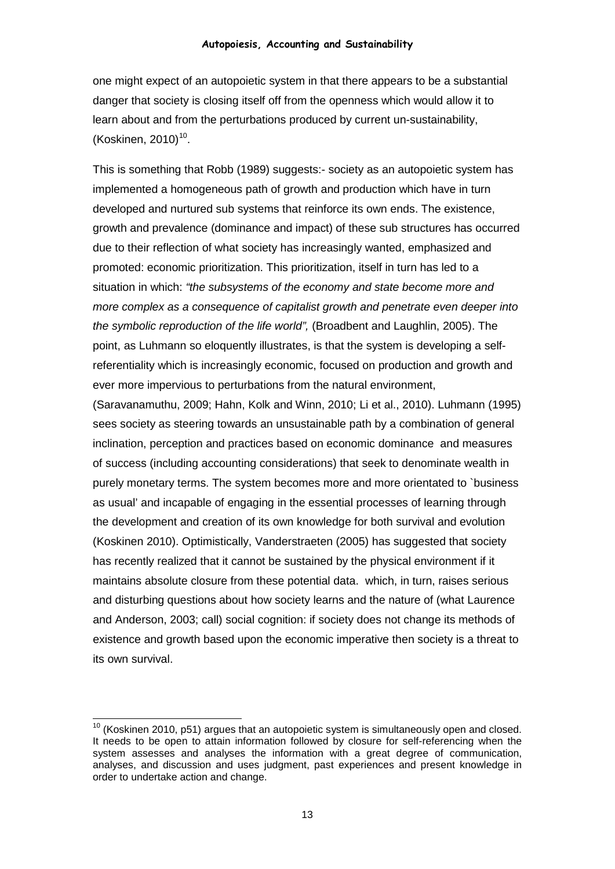one might expect of an autopoietic system in that there appears to be a substantial danger that society is closing itself off from the openness which would allow it to learn about and from the perturbations produced by current un-sustainability, (Koskinen, 20[10](#page-12-0)) $10$ .

This is something that Robb (1989) suggests:- society as an autopoietic system has implemented a homogeneous path of growth and production which have in turn developed and nurtured sub systems that reinforce its own ends. The existence, growth and prevalence (dominance and impact) of these sub structures has occurred due to their reflection of what society has increasingly wanted, emphasized and promoted: economic prioritization. This prioritization, itself in turn has led to a situation in which: *"the subsystems of the economy and state become more and more complex as a consequence of capitalist growth and penetrate even deeper into the symbolic reproduction of the life world",* (Broadbent and Laughlin, 2005). The point, as Luhmann so eloquently illustrates, is that the system is developing a selfreferentiality which is increasingly economic, focused on production and growth and ever more impervious to perturbations from the natural environment,

(Saravanamuthu, 2009; Hahn, Kolk and Winn, 2010; Li et al., 2010). Luhmann (1995) sees society as steering towards an unsustainable path by a combination of general inclination, perception and practices based on economic dominance and measures of success (including accounting considerations) that seek to denominate wealth in purely monetary terms. The system becomes more and more orientated to `business as usual' and incapable of engaging in the essential processes of learning through the development and creation of its own knowledge for both survival and evolution (Koskinen 2010). Optimistically, Vanderstraeten (2005) has suggested that society has recently realized that it cannot be sustained by the physical environment if it maintains absolute closure from these potential data. which, in turn, raises serious and disturbing questions about how society learns and the nature of (what Laurence and Anderson, 2003; call) social cognition: if society does not change its methods of existence and growth based upon the economic imperative then society is a threat to its own survival.

<span id="page-12-0"></span> $10$  (Koskinen 2010, p51) argues that an autopoietic system is simultaneously open and closed. It needs to be open to attain information followed by closure for self-referencing when the system assesses and analyses the information with a great degree of communication, analyses, and discussion and uses judgment, past experiences and present knowledge in order to undertake action and change.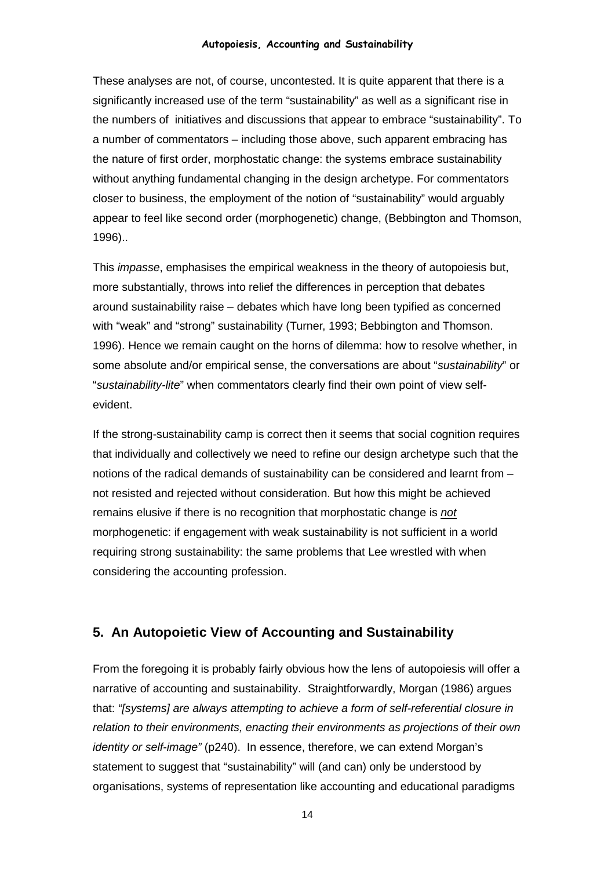These analyses are not, of course, uncontested. It is quite apparent that there is a significantly increased use of the term "sustainability" as well as a significant rise in the numbers of initiatives and discussions that appear to embrace "sustainability". To a number of commentators – including those above, such apparent embracing has the nature of first order, morphostatic change: the systems embrace sustainability without anything fundamental changing in the design archetype. For commentators closer to business, the employment of the notion of "sustainability" would arguably appear to feel like second order (morphogenetic) change, (Bebbington and Thomson, 1996)..

This *impasse*, emphasises the empirical weakness in the theory of autopoiesis but, more substantially, throws into relief the differences in perception that debates around sustainability raise – debates which have long been typified as concerned with "weak" and "strong" sustainability (Turner, 1993; Bebbington and Thomson. 1996). Hence we remain caught on the horns of dilemma: how to resolve whether, in some absolute and/or empirical sense, the conversations are about "*sustainability*" or "*sustainability-lite*" when commentators clearly find their own point of view selfevident.

If the strong-sustainability camp is correct then it seems that social cognition requires that individually and collectively we need to refine our design archetype such that the notions of the radical demands of sustainability can be considered and learnt from – not resisted and rejected without consideration. But how this might be achieved remains elusive if there is no recognition that morphostatic change is *not* morphogenetic: if engagement with weak sustainability is not sufficient in a world requiring strong sustainability: the same problems that Lee wrestled with when considering the accounting profession.

# **5. An Autopoietic View of Accounting and Sustainability**

From the foregoing it is probably fairly obvious how the lens of autopoiesis will offer a narrative of accounting and sustainability. Straightforwardly, Morgan (1986) argues that: *"[systems] are always attempting to achieve a form of self-referential closure in relation to their environments, enacting their environments as projections of their own identity or self-image"* (p240). In essence, therefore, we can extend Morgan's statement to suggest that "sustainability" will (and can) only be understood by organisations, systems of representation like accounting and educational paradigms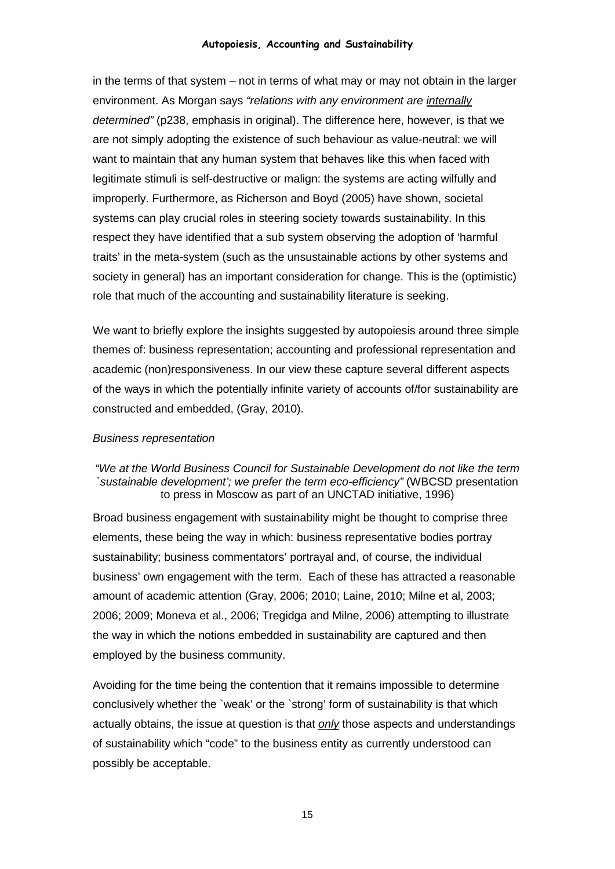in the terms of that system – not in terms of what may or may not obtain in the larger environment. As Morgan says *"relations with any environment are internally determined"* (p238, emphasis in original). The difference here, however, is that we are not simply adopting the existence of such behaviour as value-neutral: we will want to maintain that any human system that behaves like this when faced with legitimate stimuli is self-destructive or malign: the systems are acting wilfully and improperly. Furthermore, as Richerson and Boyd (2005) have shown, societal systems can play crucial roles in steering society towards sustainability. In this respect they have identified that a sub system observing the adoption of 'harmful traits' in the meta-system (such as the unsustainable actions by other systems and society in general) has an important consideration for change. This is the (optimistic) role that much of the accounting and sustainability literature is seeking.

We want to briefly explore the insights suggested by autopoiesis around three simple themes of: business representation; accounting and professional representation and academic (non)responsiveness. In our view these capture several different aspects of the ways in which the potentially infinite variety of accounts of/for sustainability are constructed and embedded, (Gray, 2010).

#### *Business representation*

#### *"We at the World Business Council for Sustainable Development do not like the term `sustainable development'; we prefer the term eco-efficiency"* (WBCSD presentation to press in Moscow as part of an UNCTAD initiative, 1996)

Broad business engagement with sustainability might be thought to comprise three elements, these being the way in which: business representative bodies portray sustainability; business commentators' portrayal and, of course, the individual business' own engagement with the term. Each of these has attracted a reasonable amount of academic attention (Gray, 2006; 2010; Laine, 2010; Milne et al, 2003; 2006; 2009; Moneva et al., 2006; Tregidga and Milne, 2006) attempting to illustrate the way in which the notions embedded in sustainability are captured and then employed by the business community.

Avoiding for the time being the contention that it remains impossible to determine conclusively whether the `weak' or the `strong' form of sustainability is that which actually obtains, the issue at question is that *only* those aspects and understandings of sustainability which "code" to the business entity as currently understood can possibly be acceptable.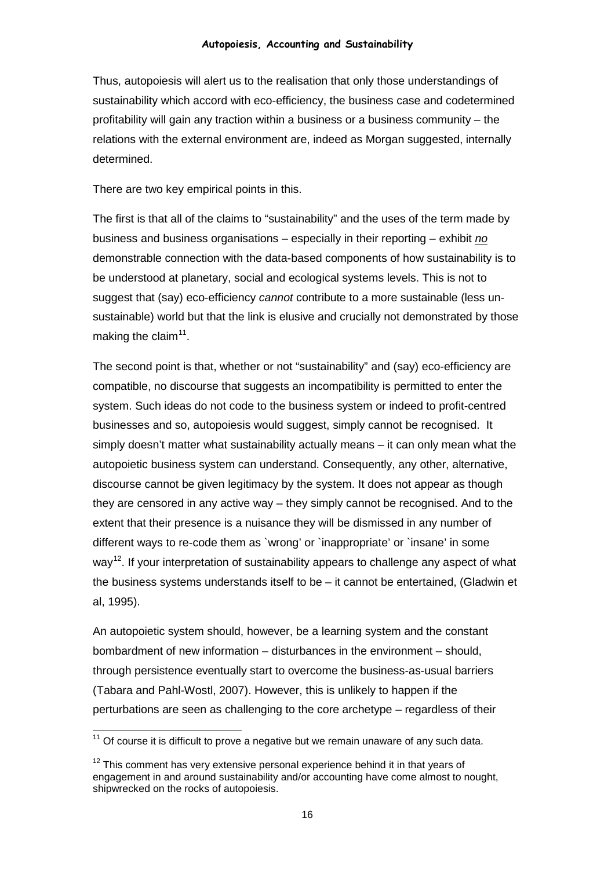Thus, autopoiesis will alert us to the realisation that only those understandings of sustainability which accord with eco-efficiency, the business case and codetermined profitability will gain any traction within a business or a business community – the relations with the external environment are, indeed as Morgan suggested, internally determined.

There are two key empirical points in this.

The first is that all of the claims to "sustainability" and the uses of the term made by business and business organisations – especially in their reporting – exhibit *no* demonstrable connection with the data-based components of how sustainability is to be understood at planetary, social and ecological systems levels. This is not to suggest that (say) eco-efficiency *cannot* contribute to a more sustainable (less unsustainable) world but that the link is elusive and crucially not demonstrated by those making the claim<sup>11</sup>.

The second point is that, whether or not "sustainability" and (say) eco-efficiency are compatible, no discourse that suggests an incompatibility is permitted to enter the system. Such ideas do not code to the business system or indeed to profit-centred businesses and so, autopoiesis would suggest, simply cannot be recognised. It simply doesn't matter what sustainability actually means – it can only mean what the autopoietic business system can understand. Consequently, any other, alternative, discourse cannot be given legitimacy by the system. It does not appear as though they are censored in any active way – they simply cannot be recognised. And to the extent that their presence is a nuisance they will be dismissed in any number of different ways to re-code them as `wrong' or `inappropriate' or `insane' in some way<sup>12</sup>. If your interpretation of sustainability appears to challenge any aspect of what the business systems understands itself to be – it cannot be entertained, (Gladwin et al, 1995).

An autopoietic system should, however, be a learning system and the constant bombardment of new information – disturbances in the environment – should, through persistence eventually start to overcome the business-as-usual barriers (Tabara and Pahl-Wostl, 2007). However, this is unlikely to happen if the perturbations are seen as challenging to the core archetype – regardless of their

<span id="page-15-0"></span> $11$  Of course it is difficult to prove a negative but we remain unaware of any such data.

<span id="page-15-1"></span> $12$  This comment has very extensive personal experience behind it in that years of engagement in and around sustainability and/or accounting have come almost to nought, shipwrecked on the rocks of autopoiesis.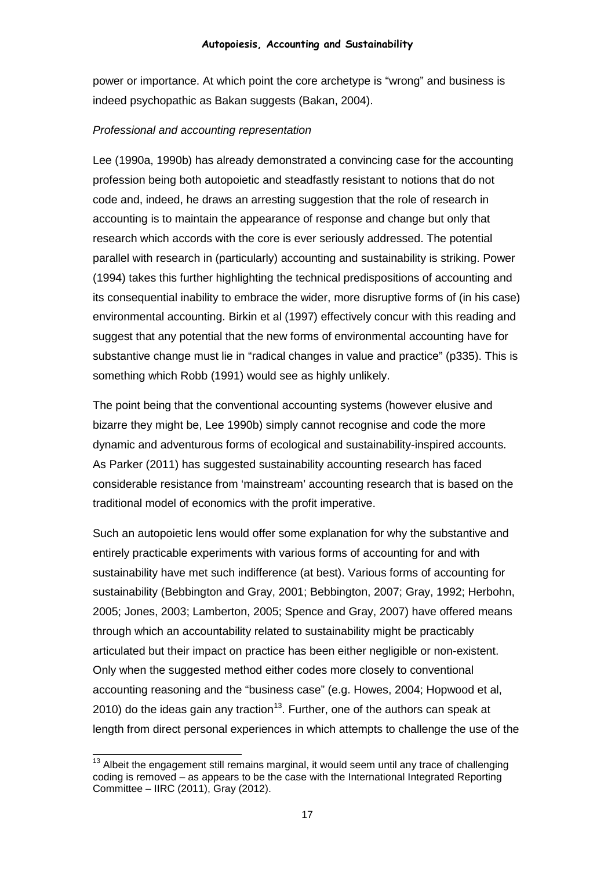power or importance. At which point the core archetype is "wrong" and business is indeed psychopathic as Bakan suggests (Bakan, 2004).

#### *Professional and accounting representation*

Lee (1990a, 1990b) has already demonstrated a convincing case for the accounting profession being both autopoietic and steadfastly resistant to notions that do not code and, indeed, he draws an arresting suggestion that the role of research in accounting is to maintain the appearance of response and change but only that research which accords with the core is ever seriously addressed. The potential parallel with research in (particularly) accounting and sustainability is striking. Power (1994) takes this further highlighting the technical predispositions of accounting and its consequential inability to embrace the wider, more disruptive forms of (in his case) environmental accounting. Birkin et al (1997) effectively concur with this reading and suggest that any potential that the new forms of environmental accounting have for substantive change must lie in "radical changes in value and practice" (p335). This is something which Robb (1991) would see as highly unlikely.

The point being that the conventional accounting systems (however elusive and bizarre they might be, Lee 1990b) simply cannot recognise and code the more dynamic and adventurous forms of ecological and sustainability-inspired accounts. As Parker (2011) has suggested sustainability accounting research has faced considerable resistance from 'mainstream' accounting research that is based on the traditional model of economics with the profit imperative.

Such an autopoietic lens would offer some explanation for why the substantive and entirely practicable experiments with various forms of accounting for and with sustainability have met such indifference (at best). Various forms of accounting for sustainability (Bebbington and Gray, 2001; Bebbington, 2007; Gray, 1992; Herbohn, 2005; Jones, 2003; Lamberton, 2005; Spence and Gray, 2007) have offered means through which an accountability related to sustainability might be practicably articulated but their impact on practice has been either negligible or non-existent. Only when the suggested method either codes more closely to conventional accounting reasoning and the "business case" (e.g. Howes, 2004; Hopwood et al, 2010) do the ideas gain any traction<sup>[13](#page-16-0)</sup>. Further, one of the authors can speak at length from direct personal experiences in which attempts to challenge the use of the

<span id="page-16-0"></span> $13$  Albeit the engagement still remains marginal, it would seem until any trace of challenging coding is removed – as appears to be the case with the International Integrated Reporting Committee – IIRC (2011), Gray (2012).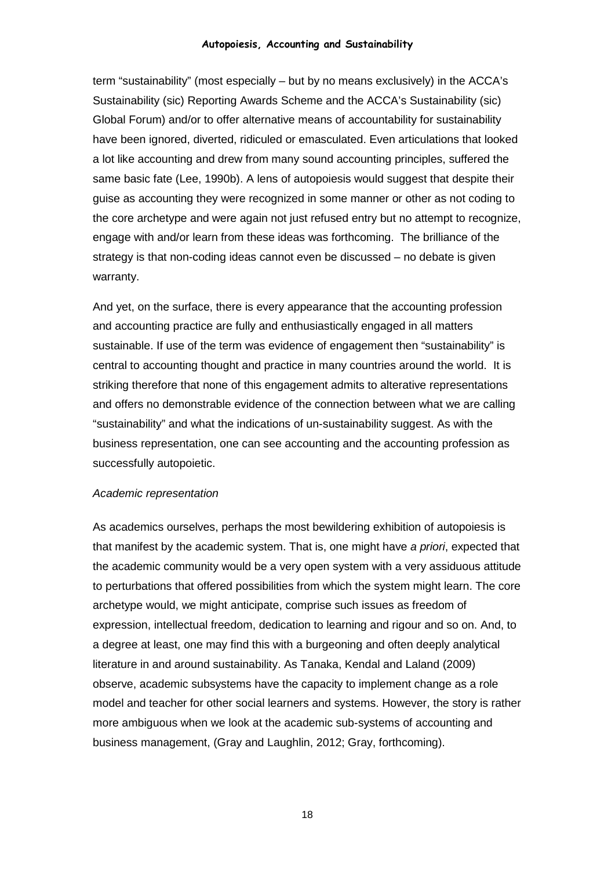term "sustainability" (most especially – but by no means exclusively) in the ACCA's Sustainability (sic) Reporting Awards Scheme and the ACCA's Sustainability (sic) Global Forum) and/or to offer alternative means of accountability for sustainability have been ignored, diverted, ridiculed or emasculated. Even articulations that looked a lot like accounting and drew from many sound accounting principles, suffered the same basic fate (Lee, 1990b). A lens of autopoiesis would suggest that despite their guise as accounting they were recognized in some manner or other as not coding to the core archetype and were again not just refused entry but no attempt to recognize, engage with and/or learn from these ideas was forthcoming. The brilliance of the strategy is that non-coding ideas cannot even be discussed – no debate is given warranty.

And yet, on the surface, there is every appearance that the accounting profession and accounting practice are fully and enthusiastically engaged in all matters sustainable. If use of the term was evidence of engagement then "sustainability" is central to accounting thought and practice in many countries around the world. It is striking therefore that none of this engagement admits to alterative representations and offers no demonstrable evidence of the connection between what we are calling "sustainability" and what the indications of un-sustainability suggest. As with the business representation, one can see accounting and the accounting profession as successfully autopoietic.

#### *Academic representation*

As academics ourselves, perhaps the most bewildering exhibition of autopoiesis is that manifest by the academic system. That is, one might have *a priori*, expected that the academic community would be a very open system with a very assiduous attitude to perturbations that offered possibilities from which the system might learn. The core archetype would, we might anticipate, comprise such issues as freedom of expression, intellectual freedom, dedication to learning and rigour and so on. And, to a degree at least, one may find this with a burgeoning and often deeply analytical literature in and around sustainability. As Tanaka, Kendal and Laland (2009) observe, academic subsystems have the capacity to implement change as a role model and teacher for other social learners and systems. However, the story is rather more ambiguous when we look at the academic sub-systems of accounting and business management, (Gray and Laughlin, 2012; Gray, forthcoming).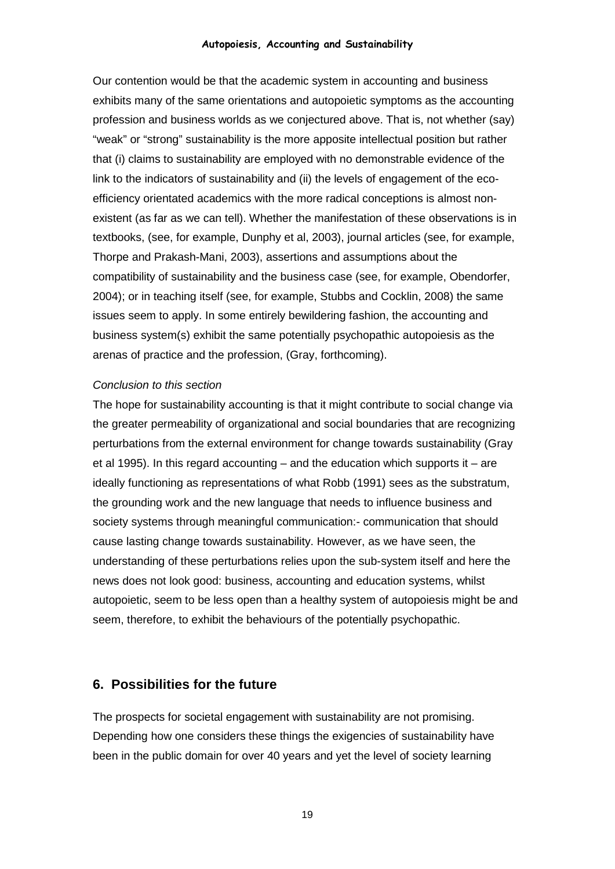Our contention would be that the academic system in accounting and business exhibits many of the same orientations and autopoietic symptoms as the accounting profession and business worlds as we conjectured above. That is, not whether (say) "weak" or "strong" sustainability is the more apposite intellectual position but rather that (i) claims to sustainability are employed with no demonstrable evidence of the link to the indicators of sustainability and (ii) the levels of engagement of the ecoefficiency orientated academics with the more radical conceptions is almost nonexistent (as far as we can tell). Whether the manifestation of these observations is in textbooks, (see, for example, Dunphy et al, 2003), journal articles (see, for example, Thorpe and Prakash-Mani, 2003), assertions and assumptions about the compatibility of sustainability and the business case (see, for example, Obendorfer, 2004); or in teaching itself (see, for example, Stubbs and Cocklin, 2008) the same issues seem to apply. In some entirely bewildering fashion, the accounting and business system(s) exhibit the same potentially psychopathic autopoiesis as the arenas of practice and the profession, (Gray, forthcoming).

#### *Conclusion to this section*

The hope for sustainability accounting is that it might contribute to social change via the greater permeability of organizational and social boundaries that are recognizing perturbations from the external environment for change towards sustainability (Gray et al 1995). In this regard accounting – and the education which supports it – are ideally functioning as representations of what Robb (1991) sees as the substratum, the grounding work and the new language that needs to influence business and society systems through meaningful communication:- communication that should cause lasting change towards sustainability. However, as we have seen, the understanding of these perturbations relies upon the sub-system itself and here the news does not look good: business, accounting and education systems, whilst autopoietic, seem to be less open than a healthy system of autopoiesis might be and seem, therefore, to exhibit the behaviours of the potentially psychopathic.

## **6. Possibilities for the future**

The prospects for societal engagement with sustainability are not promising. Depending how one considers these things the exigencies of sustainability have been in the public domain for over 40 years and yet the level of society learning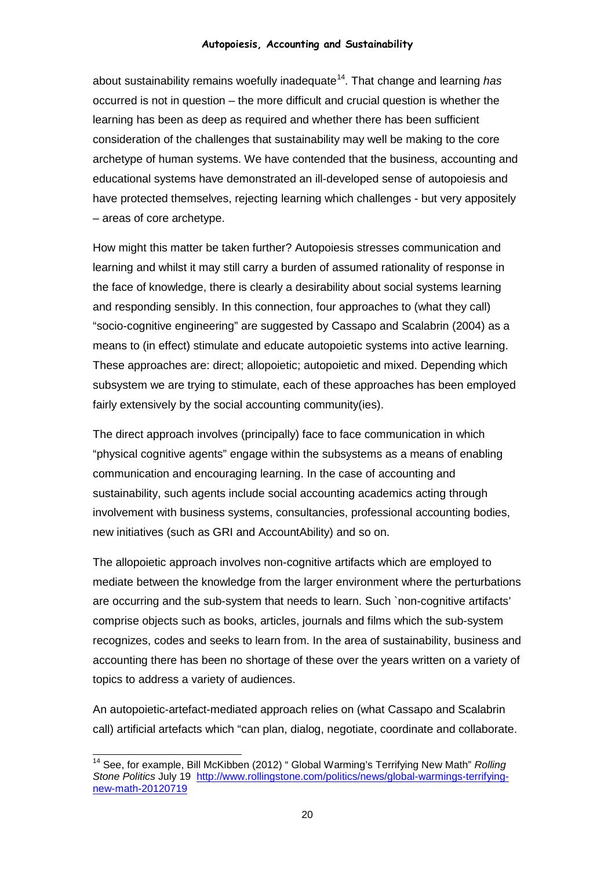about sustainability remains woefully inadequate<sup>[14](#page-19-0)</sup>. That change and learning has occurred is not in question – the more difficult and crucial question is whether the learning has been as deep as required and whether there has been sufficient consideration of the challenges that sustainability may well be making to the core archetype of human systems. We have contended that the business, accounting and educational systems have demonstrated an ill-developed sense of autopoiesis and have protected themselves, rejecting learning which challenges - but very appositely – areas of core archetype.

How might this matter be taken further? Autopoiesis stresses communication and learning and whilst it may still carry a burden of assumed rationality of response in the face of knowledge, there is clearly a desirability about social systems learning and responding sensibly. In this connection, four approaches to (what they call) "socio-cognitive engineering" are suggested by Cassapo and Scalabrin (2004) as a means to (in effect) stimulate and educate autopoietic systems into active learning. These approaches are: direct; allopoietic; autopoietic and mixed. Depending which subsystem we are trying to stimulate, each of these approaches has been employed fairly extensively by the social accounting community(ies).

The direct approach involves (principally) face to face communication in which "physical cognitive agents" engage within the subsystems as a means of enabling communication and encouraging learning. In the case of accounting and sustainability, such agents include social accounting academics acting through involvement with business systems, consultancies, professional accounting bodies, new initiatives (such as GRI and AccountAbility) and so on.

The allopoietic approach involves non-cognitive artifacts which are employed to mediate between the knowledge from the larger environment where the perturbations are occurring and the sub-system that needs to learn. Such `non-cognitive artifacts' comprise objects such as books, articles, journals and films which the sub-system recognizes, codes and seeks to learn from. In the area of sustainability, business and accounting there has been no shortage of these over the years written on a variety of topics to address a variety of audiences.

An autopoietic-artefact-mediated approach relies on (what Cassapo and Scalabrin call) artificial artefacts which "can plan, dialog, negotiate, coordinate and collaborate.

<span id="page-19-0"></span> <sup>14</sup> See, for example, Bill McKibben (2012) " Global Warming's Terrifying New Math" *Rolling Stone Politics* July 19 [http://www.rollingstone.com/politics/news/global-warmings-terrifying](http://www.rollingstone.com/politics/news/global-warmings-terrifying-new-math-20120719)[new-math-20120719](http://www.rollingstone.com/politics/news/global-warmings-terrifying-new-math-20120719)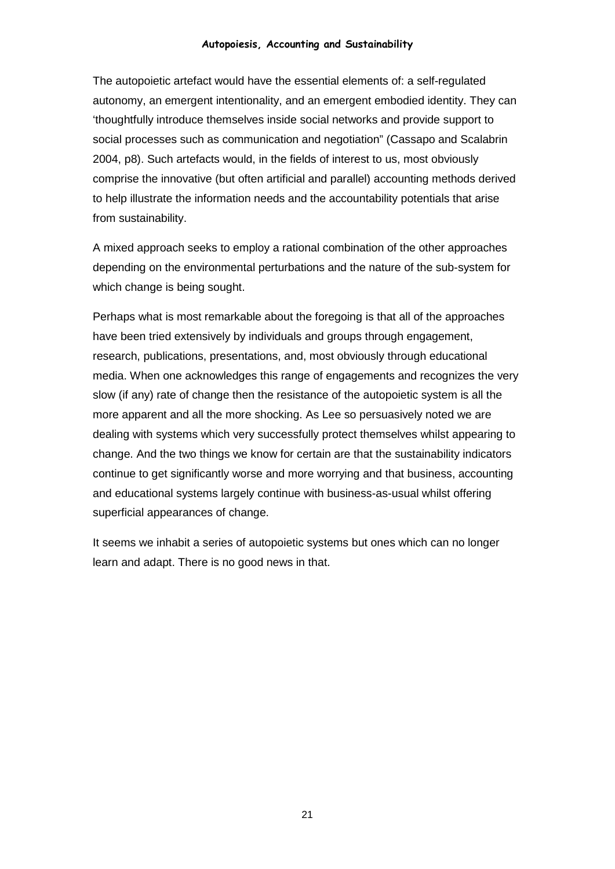The autopoietic artefact would have the essential elements of: a self-regulated autonomy, an emergent intentionality, and an emergent embodied identity. They can 'thoughtfully introduce themselves inside social networks and provide support to social processes such as communication and negotiation" (Cassapo and Scalabrin 2004, p8). Such artefacts would, in the fields of interest to us, most obviously comprise the innovative (but often artificial and parallel) accounting methods derived to help illustrate the information needs and the accountability potentials that arise from sustainability.

A mixed approach seeks to employ a rational combination of the other approaches depending on the environmental perturbations and the nature of the sub-system for which change is being sought.

Perhaps what is most remarkable about the foregoing is that all of the approaches have been tried extensively by individuals and groups through engagement, research, publications, presentations, and, most obviously through educational media. When one acknowledges this range of engagements and recognizes the very slow (if any) rate of change then the resistance of the autopoietic system is all the more apparent and all the more shocking. As Lee so persuasively noted we are dealing with systems which very successfully protect themselves whilst appearing to change. And the two things we know for certain are that the sustainability indicators continue to get significantly worse and more worrying and that business, accounting and educational systems largely continue with business-as-usual whilst offering superficial appearances of change.

It seems we inhabit a series of autopoietic systems but ones which can no longer learn and adapt. There is no good news in that.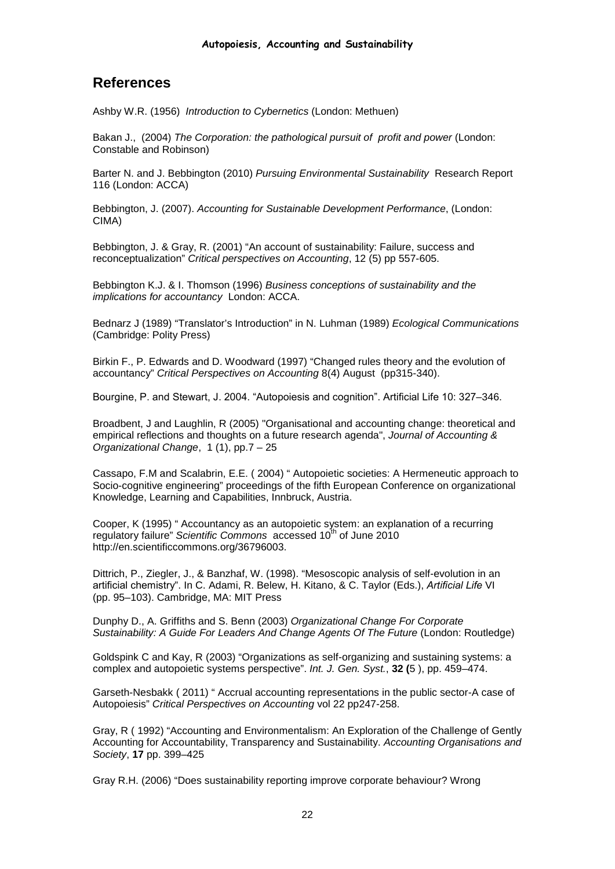# **References**

Ashby W.R. (1956) *Introduction to Cybernetics* (London: Methuen)

Bakan J., (2004) *The Corporation: the pathological pursuit of profit and power* (London: Constable and Robinson)

Barter N. and J. Bebbington (2010) *Pursuing Environmental Sustainability* Research Report 116 (London: ACCA)

Bebbington, J. (2007). *Accounting for Sustainable Development Performance*, (London: CIMA)

Bebbington, J. & Gray, R. (2001) "An account of sustainability: Failure, success and reconceptualization" *Critical perspectives on Accounting*, 12 (5) pp 557-605.

Bebbington K.J. & I. Thomson (1996) *Business conceptions of sustainability and the implications for accountancy* London: ACCA.

Bednarz J (1989) "Translator's Introduction" in N. Luhman (1989) *Ecological Communications* (Cambridge: Polity Press)

Birkin F., P. Edwards and D. Woodward (1997) "Changed rules theory and the evolution of accountancy" *Critical Perspectives on Accounting* 8(4) August (pp315-340).

Bourgine, P. and Stewart, J. 2004. "Autopoiesis and cognition". Artificial Life 10: 327–346.

Broadbent, J and Laughlin, R (2005) "Organisational and accounting change: theoretical and empirical reflections and thoughts on a future research agenda", *Journal of Accounting & Organizational Change*, 1 (1), pp.7 – 25

Cassapo, F.M and Scalabrin, E.E. ( 2004) " Autopoietic societies: A Hermeneutic approach to Socio-cognitive engineering" proceedings of the fifth European Conference on organizational Knowledge, Learning and Capabilities, Innbruck, Austria.

Cooper, K (1995) " Accountancy as an autopoietic system: an explanation of a recurring regulatory failure" *Scientific Commons* accessed 10<sup>th</sup> of June 2010 http://en.scientificcommons.org/36796003.

Dittrich, P., Ziegler, J., & Banzhaf, W. (1998). "Mesoscopic analysis of self-evolution in an artificial chemistry". In C. Adami, R. Belew, H. Kitano, & C. Taylor (Eds.), *Artificial Life* VI (pp. 95–103). Cambridge, MA: MIT Press

Dunphy D., A. Griffiths and S. Benn (2003) *Organizational Change For Corporate Sustainability: A Guide For Leaders And Change Agents Of The Future* (London: Routledge)

[Goldspink C and Kay, R \(2003\)](http://www.sciencedirect.com/science/article/pii/S1476945X07000347#bbib57#bbib57) "Organizations as self-organizing and sustaining systems: a complex and autopoietic systems perspective". *Int. J. Gen. Syst.*, **32 (**5 ), pp. 459–474.

Garseth-Nesbakk ( 2011) " Accrual accounting representations in the public sector-A case of Autopoiesis" *Critical Perspectives on Accounting* vol 22 pp247-258.

Gray, R ( 1992) "Accounting and Environmentalism: An Exploration of the Challenge of Gently Accounting for Accountability, Transparency and Sustainability. *Accounting Organisations and Society*, **17** pp. 399–425

Gray R.H. (2006) "Does sustainability reporting improve corporate behaviour? Wrong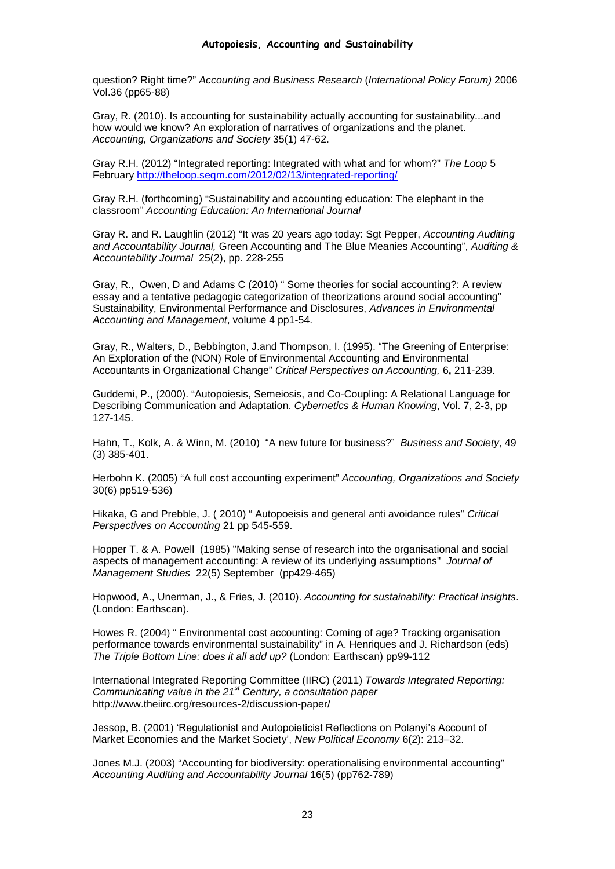question? Right time?" *Accounting and Business Research* (*International Policy Forum)* 2006 Vol.36 (pp65-88)

Gray, R. (2010). Is accounting for sustainability actually accounting for sustainability...and how would we know? An exploration of narratives of organizations and the planet. *Accounting, Organizations and Society* 35(1) 47-62.

Gray R.H. (2012) "Integrated reporting: Integrated with what and for whom?" *The Loop* 5 February<http://theloop.seqm.com/2012/02/13/integrated-reporting/>

Gray R.H. (forthcoming) "Sustainability and accounting education: The elephant in the classroom" *Accounting Education: An International Journal*

Gray R. and R. Laughlin (2012) "It was 20 years ago today: Sgt Pepper, *Accounting Auditing and Accountability Journal,* Green Accounting and The Blue Meanies Accounting", *Auditing & Accountability Journal* 25(2), pp. 228-255

Gray, R., Owen, D and Adams C (2010) " Some theories for social accounting?: A review essay and a tentative pedagogic categorization of theorizations around social accounting" Sustainability, Environmental Performance and Disclosures, *Advances in Environmental Accounting and Management*, volume 4 pp1-54.

Gray, R., Walters, D., Bebbington, J.and Thompson, I. (1995). "The Greening of Enterprise: An Exploration of the (NON) Role of Environmental Accounting and Environmental Accountants in Organizational Change" *Critical Perspectives on Accounting,* 6**,** 211-239.

Guddemi, P., (2000). "Autopoiesis, Semeiosis, and Co-Coupling: A Relational Language for Describing Communication and Adaptation. *Cybernetics & Human Knowing*, Vol. 7, 2-3, pp 127-145.

Hahn, T., Kolk, A. & Winn, M. (2010) "A new future for business?" *Business and Society*, 49 (3) 385-401.

Herbohn K. (2005) "A full cost accounting experiment" *Accounting, Organizations and Society* 30(6) pp519-536)

Hikaka, G and Prebble, J. ( 2010) " Autopoeisis and general anti avoidance rules" *Critical Perspectives on Accounting* 21 pp 545-559.

Hopper T. & A. Powell (1985) "Making sense of research into the organisational and social aspects of management accounting: A review of its underlying assumptions" *Journal of Management Studies* 22(5) September (pp429-465)

Hopwood, A., Unerman, J., & Fries, J. (2010). *Accounting for sustainability: Practical insights*. (London: Earthscan).

Howes R. (2004) " Environmental cost accounting: Coming of age? Tracking organisation performance towards environmental sustainability" in A. Henriques and J. Richardson (eds) *The Triple Bottom Line: does it all add up?* (London: Earthscan) pp99-112

International Integrated Reporting Committee (IIRC) (2011) *Towards Integrated Reporting: Communicating value in the 21st Century, a consultation paper* http://www.theiirc.org/resources-2/discussion-paper/

Jessop, B. (2001) 'Regulationist and Autopoieticist Reflections on Polanyi's Account of Market Economies and the Market Society', *New Political Economy* 6(2): 213–32.

Jones M.J. (2003) "Accounting for biodiversity: operationalising environmental accounting" *Accounting Auditing and Accountability Journal* 16(5) (pp762-789)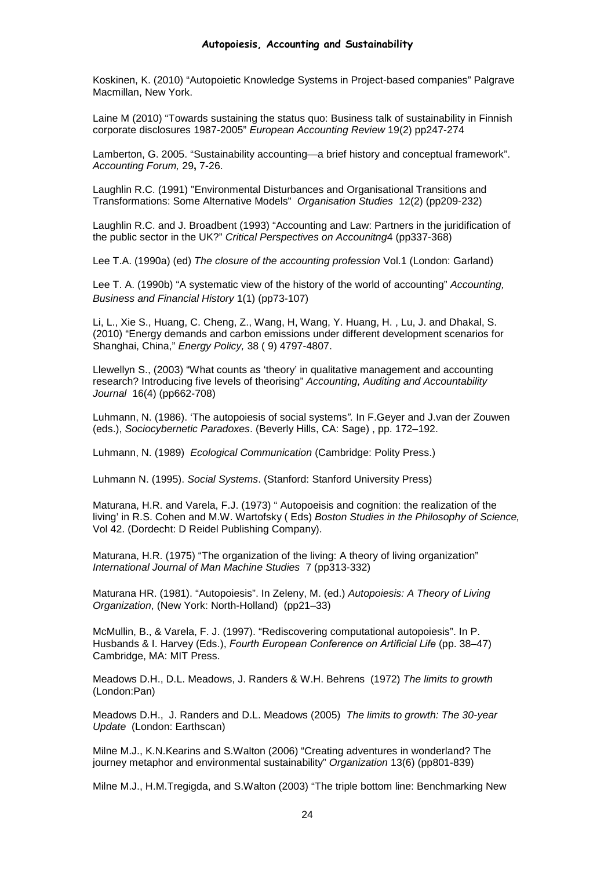Koskinen, K. (2010) "Autopoietic Knowledge Systems in Project-based companies" Palgrave Macmillan, New York.

Laine M (2010) "Towards sustaining the status quo: Business talk of sustainability in Finnish corporate disclosures 1987-2005" *European Accounting Review* 19(2) pp247-274

Lamberton, G. 2005. "Sustainability accounting—a brief history and conceptual framework". *Accounting Forum,* 29**,** 7-26.

Laughlin R.C. (1991) "Environmental Disturbances and Organisational Transitions and Transformations: Some Alternative Models" *Organisation Studies* 12(2) (pp209-232)

Laughlin R.C. and J. Broadbent (1993) "Accounting and Law: Partners in the juridification of the public sector in the UK?" *Critical Perspectives on Accounitng*4 (pp337-368)

Lee T.A. (1990a) (ed) *The closure of the accounting profession* Vol.1 (London: Garland)

Lee T. A. (1990b) "A systematic view of the history of the world of accounting" *Accounting, Business and Financial History* 1(1) (pp73-107)

Li, L., Xie S., Huang, C. Cheng, Z., Wang, H, Wang, Y. Huang, H. , Lu, J. and Dhakal, S. (2010) "Energy demands and carbon emissions under different development scenarios for Shanghai, China," *Energy Policy,* 38 ( 9) 4797-4807.

Llewellyn S., (2003) "What counts as 'theory' in qualitative management and accounting research? Introducing five levels of theorising" *Accounting, Auditing and Accountability Journal* 16(4) (pp662-708)

Luhmann, N. (1986). 'The autopoiesis of social systems*".* In F.Geyer and J.van der Zouwen (eds.), *Sociocybernetic Paradoxes*. (Beverly Hills, CA: Sage) , pp. 172–192.

Luhmann, N. (1989) *Ecological Communication* (Cambridge: Polity Press.)

Luhmann N. (1995). *Social Systems*. (Stanford: Stanford University Press)

Maturana, H.R. and Varela, F.J. (1973) " Autopoeisis and cognition: the realization of the living' in R.S. Cohen and M.W. Wartofsky ( Eds) *Boston Studies in the Philosophy of Science,*  Vol 42. (Dordecht: D Reidel Publishing Company).

Maturana, H.R. (1975) "The organization of the living: A theory of living organization" *International Journal of Man Machine Studies* 7 (pp313-332)

Maturana HR. (1981). "Autopoiesis". In Zeleny, M. (ed.) *Autopoiesis: A Theory of Living Organization*, (New York: North-Holland) (pp21–33)

McMullin, B., & Varela, F. J. (1997). "Rediscovering computational autopoiesis". In P. Husbands & I. Harvey (Eds.), *Fourth European Conference on Artificial Life* (pp. 38–47) Cambridge, MA: MIT Press.

Meadows D.H., D.L. Meadows, J. Randers & W.H. Behrens (1972) *The limits to growth* (London:Pan)

Meadows D.H., J. Randers and D.L. Meadows (2005) *The limits to growth: The 30-year Update* (London: Earthscan)

Milne M.J., K.N.Kearins and S.Walton (2006) "Creating adventures in wonderland? The journey metaphor and environmental sustainability" *Organization* 13(6) (pp801-839)

Milne M.J., H.M.Tregigda, and S.Walton (2003) "The triple bottom line: Benchmarking New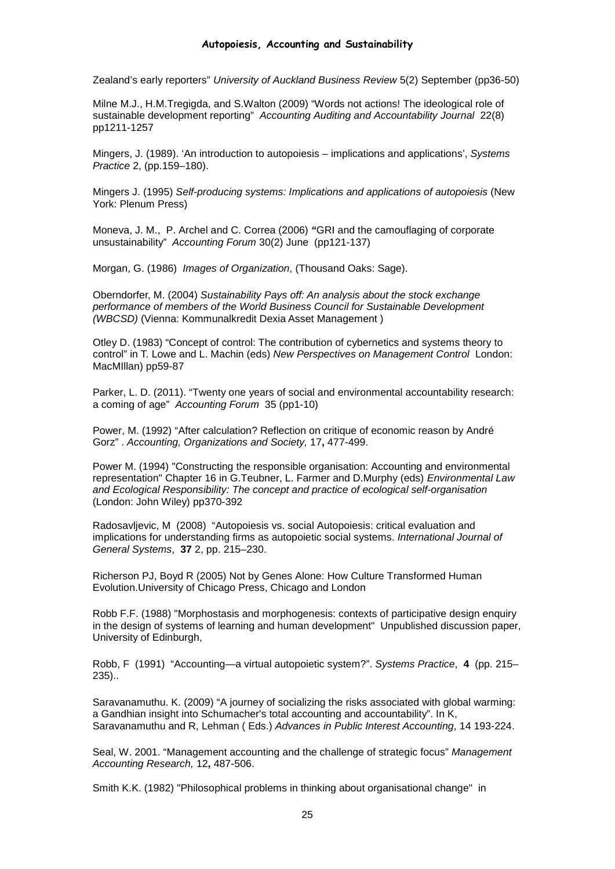Zealand's early reporters" *University of Auckland Business Review* 5(2) September (pp36-50)

Milne M.J., H.M.Tregigda, and S.Walton (2009) "Words not actions! The ideological role of sustainable development reporting" *Accounting Auditing and Accountability Journal* 22(8) pp1211-1257

Mingers, J. (1989). 'An introduction to autopoiesis – implications and applications', *Systems Practice* 2, (pp.159–180).

Mingers J. (1995) *Self-producing systems: Implications and applications of autopoiesis* (New York: Plenum Press)

Moneva, J. M., P. Archel and C. Correa (2006) *"*GRI and the camouflaging of corporate unsustainability" *Accounting Forum* 30(2) June (pp121-137)

Morgan, G. (1986) *Images of Organization*, (Thousand Oaks: Sage).

Oberndorfer, M. (2004) *Sustainability Pays off: An analysis about the stock exchange performance of members of the World Business Council for Sustainable Development (WBCSD)* (Vienna: Kommunalkredit Dexia Asset Management )

Otley D. (1983) "Concept of control: The contribution of cybernetics and systems theory to control" in T. Lowe and L. Machin (eds) *New Perspectives on Management Control* London: MacMIllan) pp59-87

[Parker, L. D.](http://www.tandfonline.com/action/doSearch?action=runSearch&type=advanced&result=true&prevSearch=%2Bauthorsfield%3A%28Parker%2C+L.+D.%29) (2011). "Twenty one years of social and environmental accountability research: a coming of age" *Accounting Forum* 35 (pp1-10)

Power, M. (1992) "After calculation? Reflection on critique of economic reason by André Gorz" . *Accounting, Organizations and Society,* 17**,** 477-499.

Power M. (1994) "Constructing the responsible organisation: Accounting and environmental representation" Chapter 16 in G.Teubner, L. Farmer and D.Murphy (eds) *Environmental Law and Ecological Responsibility: The concept and practice of ecological self-organisation* (London: John Wiley) pp370-392

Radosavljevic, M (2008) "Autopoiesis vs. social Autopoiesis: critical evaluation and implications for understanding firms as autopoietic social systems. *International Journal of General Systems*, **37** 2, pp. 215–230.

Richerson PJ, Boyd R (2005) Not by Genes Alone: How Culture Transformed Human Evolution.University of Chicago Press, Chicago and London

Robb F.F. (1988) "Morphostasis and morphogenesis: contexts of participative design enquiry in the design of systems of learning and human development" Unpublished discussion paper, University of Edinburgh,

Robb, F (1991) "Accounting—a virtual autopoietic system?". *Systems Practice*, **4** (pp. 215– 235)..

Saravanamuthu. K. (2009) "A journey of socializing the risks associated with global warming: a Gandhian insight into Schumacher's total accounting and accountability". In K, Saravanamuthu and R, Lehman ( Eds.) *Advances in Public Interest Accounting*, 14 193-224.

Seal, W. 2001. "Management accounting and the challenge of strategic focus" *Management Accounting Research,* 12**,** 487-506.

Smith K.K. (1982) "Philosophical problems in thinking about organisational change" in